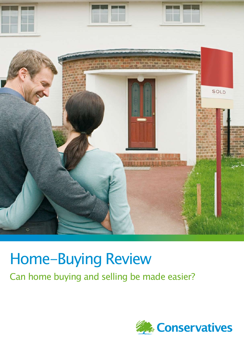

# Home-Buying Review Can home buying and selling be made easier?

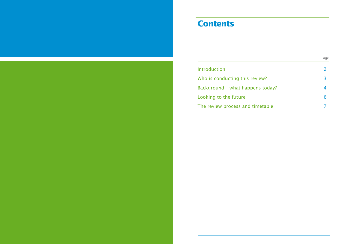### **Contents**

**Introduction** Who is conducting this review Background - what happens Looking to the future The review process and time

|                | Page           |
|----------------|----------------|
|                | $\overline{2}$ |
| W <sup>2</sup> | 3              |
| today?         | 4              |
|                | 6              |
| table          | 7              |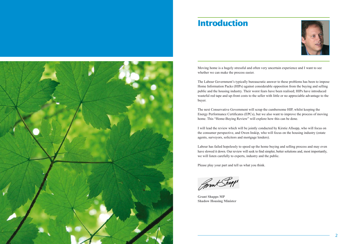### **Introduction**

Moving home is a hugely stressful and often very uncertain experience and I want to see whether we can make the process easier.

The Labour Government's typically bureaucratic answer to these problems has been to impose Home Information Packs (HIPs) against considerable opposition from the buying and selling public and the housing industry. Their worst fears have been realised; HIPs have introduced wasteful red tape and up-front costs to the seller with little or no appreciable advantage to the buyer.

The next Conservative Government will scrap the cumbersome HIP, whilst keeping the Energy Performance Certificates (EPCs), but we also want to improve the process of moving home. This "Home-Buying Review" will explore how this can be done.

I will lead the review which will be jointly conducted by Kirstie Allsopp, who will focus on the consumer perspective, and Owen Inskip, who will focus on the housing industry (estate agents, surveyors, solicitors and mortgage lenders).

Labour has failed hopelessly to speed up the home buying and selling process and may even have slowed it down. Our review will seek to find simpler, better solutions and, most importantly, we will listen carefully to experts, industry and the public.

Please play your part and tell us what you think.

Pront Shapps

**Grant Shapps MP Shadow Housing Minister**

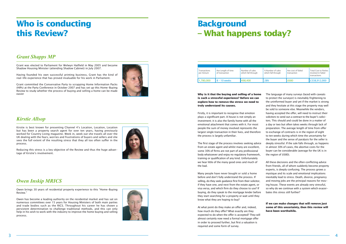## **Who is conducting this Review?**

### *Grant Shapps MP*

Grant was elected to Parliament for Welwyn Hatfield in May 2005 and became Shadow Housing Minister (attending Shadow Cabinet) in July 2007.

Having founded his own successful printing business, Grant has the kind of real-life experience that has proved invaluable for his work in Parliament.

Grant committed the Conservative Party to scrapping Home Information Packs (HIPs) at the Party Conference in October 2007 and has set up this Home-Buying Review to study whether the process of buying and selling a home can be made easier



### *Kirstie Allsop*

Kirstie is best known for presenting Channel 4's Location, Location, Location but has been a property search agent for over ten years, having previously worked for Country Living magazine. Week in, week out she travels all over the UK dealing with the fears, worries and frustrations of buyers and sellers and she sees the full extent of the resulting stress that they all too often suffer in the process.

Reducing this stress is a key objective of the Review and thus the huge advan tage of Kirstie's involvement.



### *Owen Inskip MRICS*

Owen brings 30 years of residential property experience to this "Home-Buying Review."

Owen has become a leading authority on the residential market and has sat on numerous committees over 15 years for Housing Ministers of both main parties and trade bodies such as the RICS. Throughout his career he has shown a persistent determination to challenge traditional methods, and this can only help in his wish to work with the industry to improve the home buying and selling process.



The language of many surveys (laced with caveats to protect the surveyor) is inevitably frightening to the uninformed buyer and yet if the market is strong and they hesitate at this stage the property may well be sold to someone else. Meanwhile the vendors, having accepted the offer, will need to instruct their solicitors to send out a contract to the buyer's solici tors. This should and could be done in a matter of a day or two but often takes weeks through lack of preparation. The average length of time from offer to exchange of contracts is in the region of eight to ten weeks during which time the uncertainty for the buyer and the sense of paralysis for the seller is deeply stressful. If the sale falls through, as happens in almost 30% of cases, the abortive costs for the buyer can be considerable (average for the UK is in the region of £680).

## **Background – What happens today?**

**Why is it that the buying and selling of a home is such a stressful experience? Before we can explore how to remove the stress we need to truly understand its causes.**

Firstly, it is important to recognise that emotion plays a significant part. A house is not simply an investment; it is also the family home with all the emotional attachment that comes with it. For most people the sum of money involved represents the largest single transaction in their lives, and therefore the process is largely unfamiliar.

The first stage of the process involves seeking advice from an estate agent and whilst many are excellent, some 30% of firms are not part of any professional body whatsoever and enjoy no regulatory framework, training or qualification of any kind. Unfortunately we hear little of the many good ones and much of the bad.

Many people have never bought or sold a home before and don't fully understand the process. If selling, do they seek guidance first from their solicitor, if they have one, and next from the estate agent, or visa versa, and which firm do they choose to use? If buying, do they speak to the mortgage lender before they start searching for a property or wait until they know what they are hoping to buy?

At what point do they make an offer and, indeed, how much do they offer? What exactly are they expected to do when the offer is accepted? They will almost certainly now need a formal mortgage offer in order to proceed further, but first a valuation is required and some form of survey.

All these decisions and the often conflicting advice from friends, all of whom suddenly become property experts, is deeply confusing. The process grows a mystique and its scale and emotional implications inevitably lead to stress. Death, divorce, pregnancy and moving jobs are the principal reasons for mov ing house. These events are already very stressful, so why do we continue with a system which exacer bates this stress still further?

**If we can make changes that will remove just some of this uncertainty, then this review will have been worthwhile.**

 $\boldsymbol{\Lambda}$ 

| Transactions<br>per Annum | Ave Length of time<br>of transaction | Number of sales<br>which fall through | % Number of sales<br>which fall through | Ave cost of failed<br>transaction | <b>Total Cost to Parties</b><br>involved in failed<br>transactions |
|---------------------------|--------------------------------------|---------------------------------------|-----------------------------------------|-----------------------------------|--------------------------------------------------------------------|
| 1.780.000                 | $8 - 10$ weeks                       | 498,400                               | 28%                                     | £680                              | £338,912,000                                                       |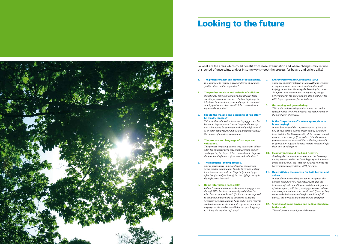



## **Looking to the future**

- **1. The professionalism and attitude of estate agents.**  *Is it desirable to require a greater degree of training, qualifications and/or regulation?*
- **2. The professionalism and attitude of solicitors.** *Whilst many solicitors are quick and efficient there are still far too many who are reluctant to pick up the telephone to the estate agents and prefer to communicate by post rather than e-mail. What can be done to improve the situation?*
- **3. Should the making and accepting of "an offer" be legally binding?**

*This would revolutionise the home buying process but has many implications - it would require the survey and valuation to be commissioned and paid for ahead of an offer being made but it would drastically reduce the number of abortive transactions.* 

#### **4. The process and language of surveys and valuations.**

*This process frequently causes long delays and all too often the language used causes unnecessary anxiety on the part of the buyer. What can be done to improve the speed and efficiency of surveys and valuations?*

### **5. The mortgage lending process.**

*This is particularly in the spotlight at present and needs careful examination. Should buyers be looking for a house armed with an "in principal mortgage offer" subject only to identifying the right property in the right price bracket?*

#### **6. Home Information Packs (HIP)**

*Labour's attempt to improve the home buying process through HIPs has been an unmitigated failure but what lessons can we learn? If solicitors were required to confirm that they were a) instructed b) had the necessary documentation to hand and c) were ready to send out a contract at short notice, prior to placing a property on the market, would this not go a long way to solving the problems of delay?*

#### **7. Energy Performance Certificates (EPC)**

*These are currently integral within HIPs and we need to explore how to ensure their continuation whilst helping rather than hindering the home buying process. As a party we are committed to improving energy performance in the home and are also mindful of the EU's legal requirement for us to do so.*

#### **8. Gazumping and gazundering.**

*This is the undesirable practice where the vendor suddenly asks for more money at the last moment or the purchaser offers less.*

#### **9. Is the "buyer beware" system appropriate to home buying?**

*It must be accepted that any transaction of this type will always carry a degree of risk and we do not believe that it is the Government's job to remove risk but more to reduce worry. If, as under HIPs, the vendor produces a survey, its credibility will always be held in question by buyers who must remain responsible for their own due diligence.*

#### **10. E-conveyancing and the Land Registry.**

*Anything that can be done to speed up the E-conveyancing process within the Land Registry will advantageous and we shall see what can be done to bring the Government's target date of 2015 forward.*

#### **11. De-mystifying the process for both buyers and sellers.**

*In fact, despite everything written in this paper, the process should be very straight forward. It is the behaviour of sellers and buyers and the inadequacies of estate agents, solicitors, mortgage lenders, valuers and surveyors that make it complicated. If we can help improve the behaviour and professionalism of all parties, the mystique and worry should disappear.*

#### **12. Studying of home buying and selling elsewhere in the world.**

*This will form a crucial part of the review.*

So what are the areas which could benefit from close examination and where changes may reduce this period of uncertainty and/or in some way smooth the process for buyers and sellers alike?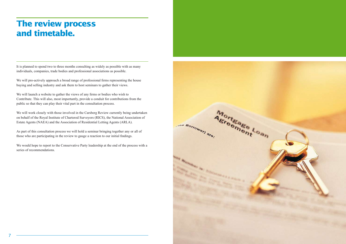## **The review process and timetable.**

It is planned to spend two to three months consulting as widely as possible with as many individuals, companies, trade bodies and professional associations as possible.

We will pro-actively approach a broad range of professional firms representing the house buying and selling industry and ask them to host seminars to gather their views.

We will launch a website to gather the views of any firms or bodies who wish to Contribute. This will also, most importantly, provide a conduit for contributions from the public so that they can play their vital part in the consultation process.

We will work closely with those involved in the Carsberg Review currently being undertaken on behalf of the Royal Institute of Chartered Surveyors (RICS), the National Association of Estate Agents (NAEA) and the Association of Residential Letting Agents (ARLA).

As part of this consultation process we will hold a seminar bringing together any or all of those who are participating in the review to gauge a reaction to our initial findings.

We would hope to report to the Conservative Party leadership at the end of the process with a series of recommendations.